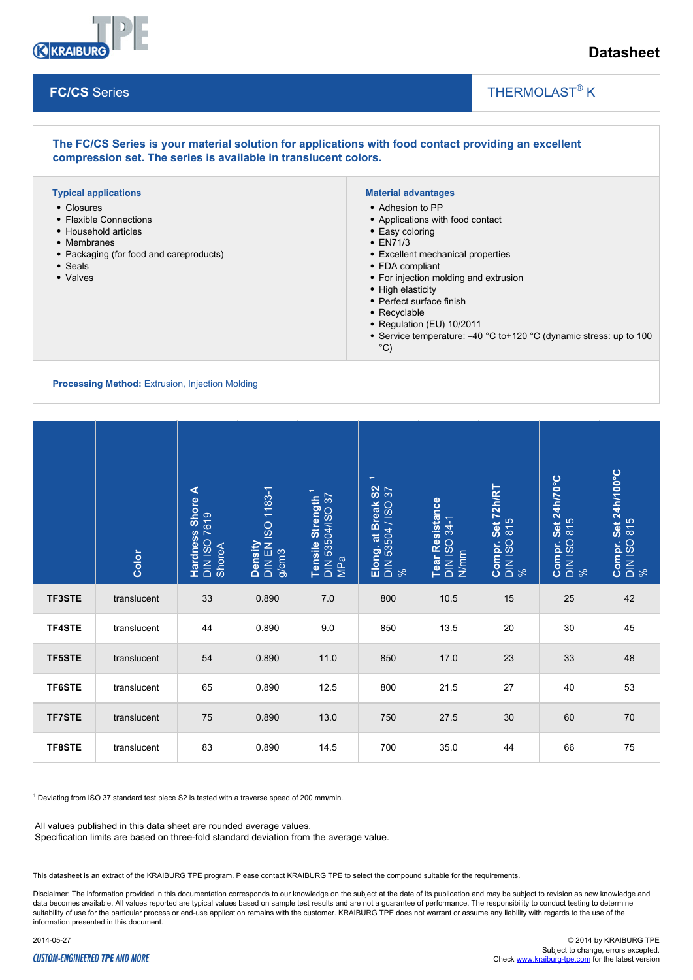

# **Datasheet**

## **FC/CS** Series

## THERMOLAST<sup>®</sup> K

 $\overline{\phantom{a}}$ 

#### **The FC/CS Series is your material solution for applications with food contact providing an excellent compression set. The series is available in translucent colors. Typical applications** Closures • Flexible Connections • Household articles Membranes • Packaging (for food and careproducts) Seals • Valves **Material advantages** Adhesion to PP Applications with food contact • Easy coloring EN71/3 Excellent mechanical properties FDA compliant For injection molding and extrusion • High elasticity • Perfect surface finish • Recyclable • Regulation (EU) 10/2011 • Service temperature: -40 °C to+120 °C (dynamic stress: up to 100  $^{\circ}$ C)

### **Processing Method:** Extrusion, Injection Molding

|                                                                                                                                                                                                                                                                            | Color       | Hardness Shore A<br>DIN ISO 7619<br>ShoreA | Density<br>DIN EN ISO 1183-1<br>g/cm3 | Tensile Strength <sup>1</sup><br>DIN 53504/ISO 37<br>MPa | $\overline{\phantom{a}}$<br>Elong. at Break S2<br>DIN 53504 / ISO 37<br>% | Tear Resistance<br>DIN ISO 34-1<br>N/mm | Compr. Set 72h/RT<br>DIN ISO 815<br>% | Compr. Set 24h/70°C<br>DIN ISO 815<br>% | Compr. Set 24h/100°C<br>DIN ISO 815<br>% |
|----------------------------------------------------------------------------------------------------------------------------------------------------------------------------------------------------------------------------------------------------------------------------|-------------|--------------------------------------------|---------------------------------------|----------------------------------------------------------|---------------------------------------------------------------------------|-----------------------------------------|---------------------------------------|-----------------------------------------|------------------------------------------|
| <b>TF3STE</b>                                                                                                                                                                                                                                                              | translucent | 33                                         | 0.890                                 | 7.0                                                      | 800                                                                       | 10.5                                    | 15                                    | 25                                      | 42                                       |
| TF4STE                                                                                                                                                                                                                                                                     | translucent | 44                                         | 0.890                                 | 9.0                                                      | 850                                                                       | 13.5                                    | 20                                    | 30                                      | 45                                       |
| <b>TF5STE</b>                                                                                                                                                                                                                                                              | translucent | 54                                         | 0.890                                 | 11.0                                                     | 850                                                                       | 17.0                                    | 23                                    | 33                                      | 48                                       |
| <b>TF6STE</b>                                                                                                                                                                                                                                                              | translucent | 65                                         | 0.890                                 | 12.5                                                     | 800                                                                       | 21.5                                    | 27                                    | 40                                      | 53                                       |
| <b>TF7STE</b>                                                                                                                                                                                                                                                              | translucent | 75                                         | 0.890                                 | 13.0                                                     | 750                                                                       | 27.5                                    | 30                                    | 60                                      | 70                                       |
| <b>TF8STE</b>                                                                                                                                                                                                                                                              | translucent | 83                                         | 0.890                                 | 14.5                                                     | 700                                                                       | 35.0                                    | 44                                    | 66                                      | 75                                       |
| <sup>1</sup> Deviating from ISO 37 standard test piece S2 is tested with a traverse speed of 200 mm/min.<br>All values published in this data sheet are rounded average values.<br>Specification limits are based on three-fold standard deviation from the average value. |             |                                            |                                       |                                                          |                                                                           |                                         |                                       |                                         |                                          |

This datasheet is an extract of the KRAIBURG TPE program. Please contact KRAIBURG TPE to select the compound suitable for the requirements.

Disclaimer: The information provided in this documentation corresponds to our knowledge on the subject at the date of its publication and may be subject to revision as new knowledge and data becomes available. All values reported are typical values based on sample test results and are not a guarantee of performance. The responsibility to conduct testing to determine suitability of use for the particular process or end-use application remains with the customer. KRAIBURG TPE does not warrant or assume any liability with regards to the use of the information presented in this document.

## **CUSTOM-ENGINEERED TPE AND MORE**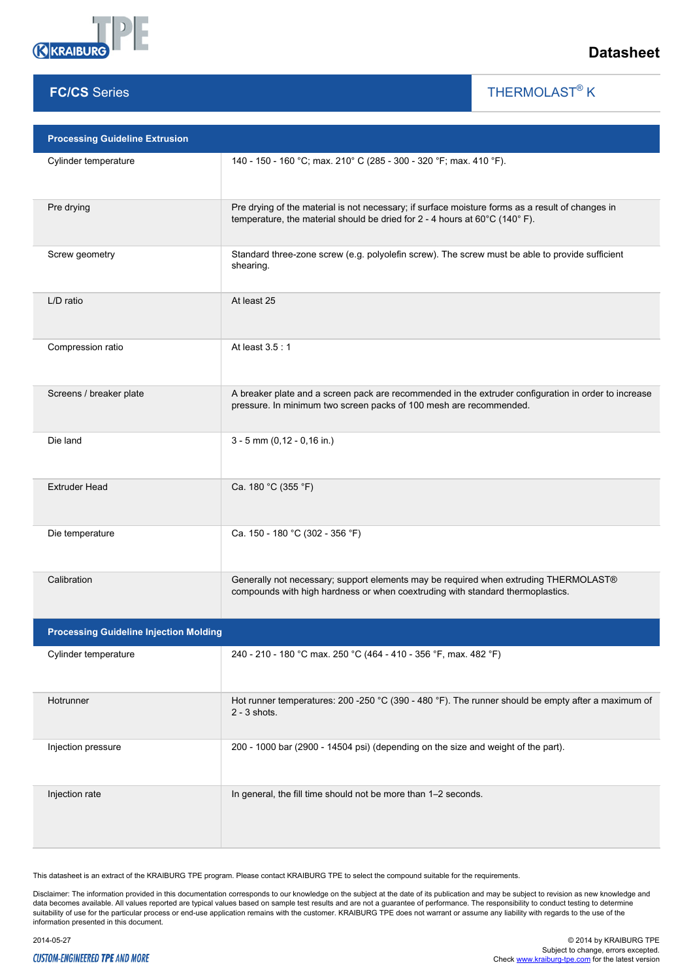

## **FC/CS** Series

THERMOLAST<sup>®</sup> K

 $\overline{\phantom{a}}$ 

| <b>Processing Guideline Extrusion</b>         |                                                                                                                                                                                |  |  |  |  |  |
|-----------------------------------------------|--------------------------------------------------------------------------------------------------------------------------------------------------------------------------------|--|--|--|--|--|
| Cylinder temperature                          | 140 - 150 - 160 °C; max. 210° C (285 - 300 - 320 °F; max. 410 °F).                                                                                                             |  |  |  |  |  |
| Pre drying                                    | Pre drying of the material is not necessary; if surface moisture forms as a result of changes in<br>temperature, the material should be dried for 2 - 4 hours at 60°C (140°F). |  |  |  |  |  |
| Screw geometry                                | Standard three-zone screw (e.g. polyolefin screw). The screw must be able to provide sufficient<br>shearing.                                                                   |  |  |  |  |  |
| L/D ratio                                     | At least 25                                                                                                                                                                    |  |  |  |  |  |
| Compression ratio                             | At least 3.5: 1                                                                                                                                                                |  |  |  |  |  |
| Screens / breaker plate                       | A breaker plate and a screen pack are recommended in the extruder configuration in order to increase<br>pressure. In minimum two screen packs of 100 mesh are recommended.     |  |  |  |  |  |
| Die land                                      | $3 - 5$ mm (0,12 - 0,16 in.)                                                                                                                                                   |  |  |  |  |  |
| <b>Extruder Head</b>                          | Ca. 180 °C (355 °F)                                                                                                                                                            |  |  |  |  |  |
| Die temperature                               | Ca. 150 - 180 °C (302 - 356 °F)                                                                                                                                                |  |  |  |  |  |
| Calibration                                   | Generally not necessary; support elements may be required when extruding THERMOLAST®<br>compounds with high hardness or when coextruding with standard thermoplastics.         |  |  |  |  |  |
| <b>Processing Guideline Injection Molding</b> |                                                                                                                                                                                |  |  |  |  |  |
| Cylinder temperature                          | 240 - 210 - 180 °C max. 250 °C (464 - 410 - 356 °F, max. 482 °F)                                                                                                               |  |  |  |  |  |
| Hotrunner                                     | Hot runner temperatures: 200 -250 °C (390 - 480 °F). The runner should be empty after a maximum of<br>$2 - 3$ shots.                                                           |  |  |  |  |  |
| Injection pressure                            | 200 - 1000 bar (2900 - 14504 psi) (depending on the size and weight of the part).                                                                                              |  |  |  |  |  |
| Injection rate                                | In general, the fill time should not be more than 1-2 seconds.                                                                                                                 |  |  |  |  |  |

This datasheet is an extract of the KRAIBURG TPE program. Please contact KRAIBURG TPE to select the compound suitable for the requirements.

Disclaimer: The information provided in this documentation corresponds to our knowledge on the subject at the date of its publication and may be subject to revision as new knowledge and<br>data becomes available. All values r